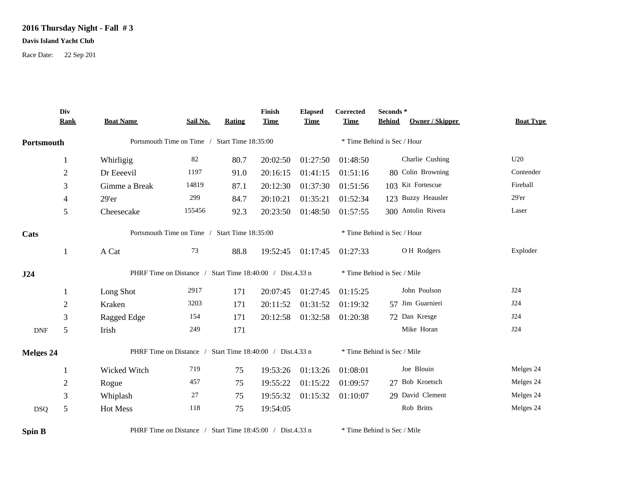## **2016 Thursday Night - Fall # 3**

## **Davis Island Yacht Club**

Race Date: 22 Sep 201

|            | Div<br><b>Rank</b> | <b>Boat Name</b>                                          | Sail No. | <b>Rating</b> | Finish<br><b>Time</b> | <b>Elapsed</b><br><b>Time</b> | Corrected<br><b>Time</b>    | Seconds *<br><b>Behind</b><br><b>Owner / Skipper</b> | <b>Boat Type</b> |  |  |
|------------|--------------------|-----------------------------------------------------------|----------|---------------|-----------------------|-------------------------------|-----------------------------|------------------------------------------------------|------------------|--|--|
| Portsmouth |                    | Portsmouth Time on Time / Start Time 18:35:00             |          |               |                       | * Time Behind is Sec / Hour   |                             |                                                      |                  |  |  |
|            | 1                  | Whirligig                                                 | 82       | 80.7          | 20:02:50              | 01:27:50                      | 01:48:50                    | Charlie Cushing                                      | U20              |  |  |
|            | $\mathbf{2}$       | Dr Eeeevil                                                | 1197     | 91.0          | 20:16:15              | 01:41:15                      | 01:51:16                    | 80 Colin Browning                                    | Contender        |  |  |
|            | 3                  | Gimme a Break                                             | 14819    | 87.1          | 20:12:30              | 01:37:30                      | 01:51:56                    | 103 Kit Fortescue                                    | Fireball         |  |  |
|            | 4                  | $29'$ er                                                  | 299      | 84.7          | 20:10:21              | 01:35:21                      | 01:52:34                    | 123 Buzzy Heausler                                   | 29'er            |  |  |
|            | 5                  | Cheesecake                                                | 155456   | 92.3          | 20:23:50              | 01:48:50                      | 01:57:55                    | 300 Antolin Rivera                                   | Laser            |  |  |
| Cats       |                    | Portsmouth Time on Time / Start Time 18:35:00             |          |               |                       |                               | * Time Behind is Sec / Hour |                                                      |                  |  |  |
|            | 1                  | A Cat                                                     | 73       | 88.8          | 19:52:45              | 01:17:45                      | 01:27:33                    | OH Rodgers                                           | Exploder         |  |  |
| J24        |                    | PHRF Time on Distance / Start Time 18:40:00 / Dist.4.33 n |          |               |                       | * Time Behind is Sec / Mile   |                             |                                                      |                  |  |  |
|            | 1                  | Long Shot                                                 | 2917     | 171           | 20:07:45              | 01:27:45                      | 01:15:25                    | John Poulson                                         | J24              |  |  |
|            | $\mathbf{2}$       | Kraken                                                    | 3203     | 171           | 20:11:52              | 01:31:52                      | 01:19:32                    | 57 Jim Guarnieri                                     | J24              |  |  |
|            | 3                  | Ragged Edge                                               | 154      | 171           | 20:12:58              | 01:32:58                      | 01:20:38                    | 72 Dan Kresge                                        | J24              |  |  |
| <b>DNF</b> | 5                  | Irish                                                     | 249      | 171           |                       |                               |                             | Mike Horan                                           | J24              |  |  |
| Melges 24  |                    | PHRF Time on Distance / Start Time 18:40:00 / Dist.4.33 n |          |               |                       |                               |                             | * Time Behind is Sec / Mile                          |                  |  |  |
|            | $\mathbf{1}$       | Wicked Witch                                              | 719      | 75            | 19:53:26              | 01:13:26                      | 01:08:01                    | Joe Blouin                                           | Melges 24        |  |  |
|            | $\overline{2}$     | Rogue                                                     | 457      | 75            | 19:55:22              | 01:15:22                      | 01:09:57                    | 27 Bob Kroetsch                                      | Melges 24        |  |  |
|            | 3                  | Whiplash                                                  | 27       | 75            | 19:55:32              | 01:15:32                      | 01:10:07                    | 29 David Clement                                     | Melges 24        |  |  |
| <b>DSQ</b> | 5                  | Hot Mess                                                  | 118      | 75            | 19:54:05              |                               |                             | Rob Britts                                           | Melges 24        |  |  |

**Spin B** PHRF Time on Distance / Start Time 18:45:00 / Dist.4.33 n \* Time Behind is Sec / Mile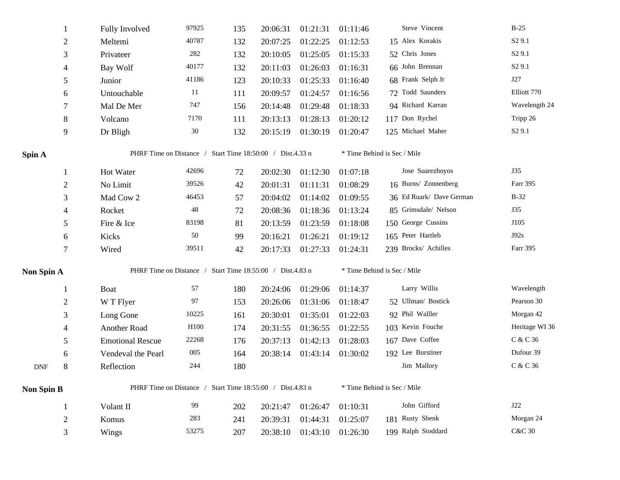|                   | 1              | Fully Involved          | 97925                                                     | 135 | 20:06:31 | 01:21:31          | 01:11:46                    | Steve Vincent               | $B-25$             |  |  |  |
|-------------------|----------------|-------------------------|-----------------------------------------------------------|-----|----------|-------------------|-----------------------------|-----------------------------|--------------------|--|--|--|
|                   | $\overline{c}$ | Meltemi                 | 40787                                                     | 132 | 20:07:25 | 01:22:25          | 01:12:53                    | 15 Alex Korakis             | S <sub>2</sub> 9.1 |  |  |  |
|                   | 3              | Privateer               | $282\,$                                                   | 132 | 20:10:05 | 01:25:05          | 01:15:33                    | 52 Chris Jones              | S <sub>2</sub> 9.1 |  |  |  |
|                   | 4              | Bay Wolf                | 40177                                                     | 132 | 20:11:03 | 01:26:03          | 01:16:31                    | 66 John Brennan             | S <sub>2</sub> 9.1 |  |  |  |
|                   | 5              | Junior                  | 41186                                                     | 123 | 20:10:33 | 01:25:33          | 01:16:40                    | 68 Frank Selph Jr           | J27                |  |  |  |
|                   | 6              | Untouchable             | 11                                                        | 111 | 20:09:57 | 01:24:57          | 01:16:56                    | 72 Todd Saunders            | Elliott 770        |  |  |  |
|                   | 7              | Mal De Mer              | 747                                                       | 156 | 20:14:48 | 01:29:48          | 01:18:33                    | 94 Richard Karran           | Wavelength 24      |  |  |  |
|                   | 8              | Volcano                 | 7170                                                      | 111 | 20:13:13 | 01:28:13          | 01:20:12                    | 117 Don Rychel              | Tripp 26           |  |  |  |
|                   | 9              | Dr Bligh                | 30                                                        | 132 | 20:15:19 | 01:30:19          | 01:20:47                    | 125 Michael Maher           | S <sub>2</sub> 9.1 |  |  |  |
| Spin A            |                |                         | PHRF Time on Distance / Start Time 18:50:00 / Dist.4.33 n |     |          |                   |                             | * Time Behind is Sec / Mile |                    |  |  |  |
|                   | 1              | Hot Water               | 42696                                                     | 72  | 20:02:30 | 01:12:30          | 01:07:18                    | Jose Suarezhoyos            | J35                |  |  |  |
|                   | $\overline{2}$ | No Limit                | 39526                                                     | 42  | 20:01:31 | 01:11:31          | 01:08:29                    | 16 Burns/ Zonnenberg        | Farr 395           |  |  |  |
|                   | 3              | Mad Cow 2               | 46453                                                     | 57  | 20:04:02 | 01:14:02          | 01:09:55                    | 36 Ed Ruark/ Dave German    | $B-32$             |  |  |  |
|                   | 4              | Rocket                  | 48                                                        | 72  | 20:08:36 | 01:18:36          | 01:13:24                    | 85 Grimsdale/ Nelson        | J35                |  |  |  |
|                   | 5              | Fire & Ice              | 83198                                                     | 81  | 20:13:59 | 01:23:59          | 01:18:08                    | 150 George Cussins          | J105               |  |  |  |
|                   | 6              | Kicks                   | 50                                                        | 99  | 20:16:21 | 01:26:21          | 01:19:12                    | 165 Peter Hartleb           | J92s               |  |  |  |
|                   | $\tau$         | Wired                   | 39511                                                     | 42  | 20:17:33 | 01:27:33          | 01:24:31                    | 239 Brocks/ Achilles        | Farr 395           |  |  |  |
| Non Spin A        |                |                         | PHRF Time on Distance / Start Time 18:55:00 / Dist.4.83 n |     |          |                   | * Time Behind is Sec / Mile |                             |                    |  |  |  |
|                   | 1              | <b>Boat</b>             | 57                                                        | 180 | 20:24:06 | 01:29:06          | 01:14:37                    | Larry Willis                | Wavelength         |  |  |  |
|                   | 2              | W T Flyer               | 97                                                        | 153 | 20:26:06 | 01:31:06          | 01:18:47                    | 52 Ullman/ Bostick          | Pearson 30         |  |  |  |
|                   | 3              | Long Gone               | 10225                                                     | 161 | 20:30:01 | 01:35:01          | 01:22:03                    | 92 Phil Walller             | Morgan 42          |  |  |  |
|                   | 4              | Another Road            | H <sub>100</sub>                                          | 174 | 20:31:55 | 01:36:55          | 01:22:55                    | 103 Kevin Fouche            | Heritage WI 36     |  |  |  |
|                   | 5              | <b>Emotional Rescue</b> | 22268                                                     | 176 | 20:37:13 | 01:42:13          | 01:28:03                    | 167 Dave Coffee             | C & C 36           |  |  |  |
|                   | 6              | Vendeval the Pearl      | 005                                                       | 164 | 20:38:14 | 01:43:14 01:30:02 |                             | 192 Lee Burstiner           | Dufour 39          |  |  |  |
| <b>DNF</b>        | $8\,$          | Reflection              | 244                                                       | 180 |          |                   |                             | Jim Mallory                 | C & C 36           |  |  |  |
| <b>Non Spin B</b> |                |                         | PHRF Time on Distance / Start Time 18:55:00 / Dist.4.83 n |     |          |                   |                             | * Time Behind is Sec / Mile |                    |  |  |  |
|                   | $\mathbf{1}$   | Volant II               | 99                                                        | 202 | 20:21:47 | 01:26:47          | 01:10:31                    | John Gifford                | J22                |  |  |  |
|                   | $\mathbf{2}$   | Komus                   | 283                                                       | 241 | 20:39:31 | 01:44:31          | 01:25:07                    | 181 Rusty Shenk             | Morgan 24          |  |  |  |
|                   | 3              | Wings                   | 53275                                                     | 207 | 20:38:10 | 01:43:10          | 01:26:30                    | 199 Ralph Stoddard          | <b>C&amp;C 30</b>  |  |  |  |